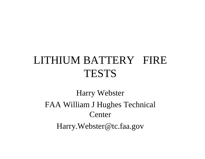# LITHIUM BATTERY FIRE TESTS

Harry Webster FAA William J Hughes Technical Center Harry.Webster@tc.faa.gov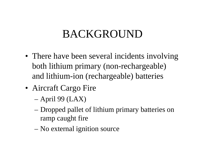# **BACKGROUND**

- There have been several incidents involving both lithium primary (non-rechargeable) and lithium-ion (rechargeable) batteries
- Aircraft Cargo Fire
	- –April 99 (LAX)
	- – Dropped pallet of lithium primary batteries on ramp caught fire
	- –No external ignition source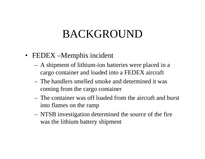## BACKGROUND

- FEDEX Memphis incident
	- A shipment of lithium-ion batteries were placed in a cargo container and loaded into a FEDEX aircraft
	- The handlers smelled smoke and determined it was coming from the cargo container
	- The container was off loaded from the aircraft and burst into flames on the ramp
	- NTSB investigation determined the source of the fire was the lithium battery shipment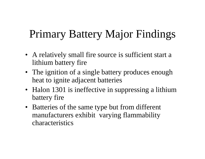# Primary Battery Major Findings

- A relatively small fire source is sufficient start a lithium battery fire
- The ignition of a single battery produces enough heat to ignite adjacent batteries
- Halon 1301 is ineffective in suppressing a lithium battery fire
- Batteries of the same type but from different manufacturers exhibit varying flammability characteristics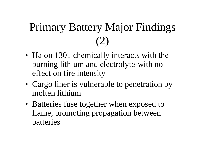# Primary Battery Major Findings (2)

- Halon 1301 chemically interacts with the burning lithium and electrolyte-with no effect on fire intensity
- Cargo liner is vulnerable to penetration by molten lithium
- Batteries fuse together when exposed to flame, promoting propagation between batteries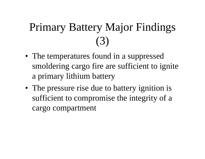# Primary Battery Major Findings (3)

- The temperatures found in a suppressed smoldering cargo fire are sufficient to ignite a primary lithium battery
- The pressure rise due to battery ignition is sufficient to compromise the integrity of a cargo compartment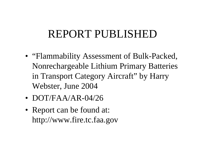# REPORT PUBLISHED

- "Flammability Assessment of Bulk-Packed, Nonrechargeable Lithium Primary Batteries in Transport Category Aircraft" by Harry Webster, June 2004
- DOT/FAA/AR-04/26
- Report can be found at: http://www.fire.tc.faa.gov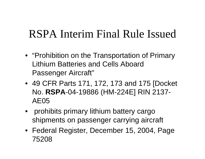# RSPA Interim Final Rule Issued

- "Prohibition on the Transportation of Primary Lithium Batteries and Cells Aboard Passenger Aircraft"
- 49 CFR Parts 171, 172, 173 and 175 [Docket No. **RSPA**-04-19886 (HM-224E] RIN 2137- AE05
- • prohibits primary lithium battery cargo shipments on passenger carrying aircraft
- Federal Register, December 15, 2004, Page 75208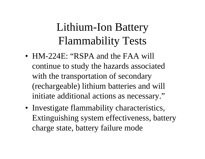# Lithium-Ion Battery Flammability Tests

- HM-224E: "RSPA and the FAA will continue to study the hazards associated with the transportation of secondary (rechargeable) lithium batteries and will initiate additional actions as necessary."
- Investigate flammability characteristics, Extinguishing system effectiveness, battery charge state, battery failure mode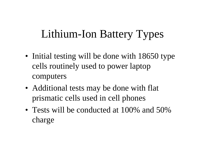# Lithium-Ion Battery Types

- Initial testing will be done with 18650 type cells routinely used to power laptop computers
- Additional tests may be done with flat prismatic cells used in cell phones
- Tests will be conducted at 100% and 50% charge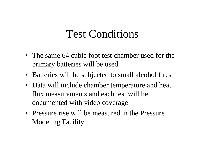### Test Conditions

- The same 64 cubic foot test chamber used for the primary batteries will be used
- Batteries will be subjected to small alcohol fires
- Data will include chamber temperature and heat flux measurements and each test will be documented with video coverage
- Pressure rise will be measured in the Pressure Modeling Facility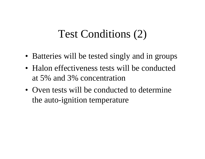## Test Conditions (2)

- Batteries will be tested singly and in groups
- Halon effectiveness tests will be conducted at 5% and 3% concentration
- Oven tests will be conducted to determine the auto-ignition temperature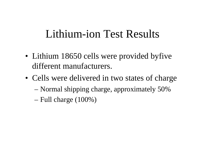- Lithium 18650 cells were provided byfive different manufacturers.
- Cells were delivered in two states of charge – Normal shipping charge, approximately 50% –
	- Full charge (100%)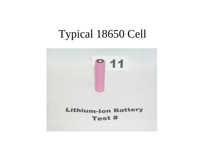## Typical 18650 Cell

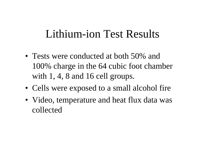- Tests were conducted at both 50% and 100% charge in the 64 cubic foot chamber with 1, 4, 8 and 16 cell groups.
- Cells were exposed to a small alcohol fire
- Video, temperature and heat flux data was collected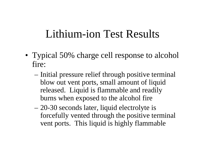- Typical 50% charge cell response to alcohol fire:
	- Initial pressure relief through positive terminal blow out vent ports, small amount of liquid released. Liquid is flammable and readily burns when exposed to the alcohol fire
	- – 20-30 seconds later, liquid electrolyte is forcefully vented through the positive terminal vent ports. This liquid is highly flammable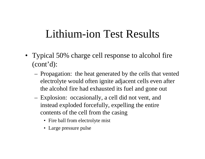- Typical 50% charge cell response to alcohol fire (cont'd):
	- Propagation: the heat generated by the cells that vented electrolyte would often ignite adjacent cells even after the alcohol fire had exhausted its fuel and gone out
	- Explosion: occasionally, a cell did not vent, and instead exploded forcefully, expelling the entire contents of the cell from the casing
		- Fire ball from electrolyte mist
		- Large pressure pulse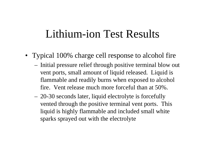- Typical 100% charge cell response to alcohol fire
	- Initial pressure relief through positive terminal blow out vent ports, small amount of liquid released. Liquid is flammable and readily burns when exposed to alcohol fire. Vent release much more forceful than at 50%.
	- 20-30 seconds later, liquid electrolyte is forcefully vented through the positive terminal vent ports. This liquid is highly flammable and included small white sparks sprayed out with the electrolyte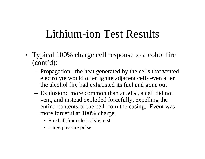- Typical 100% charge cell response to alcohol fire (cont'd):
	- Propagation: the heat generated by the cells that vented electrolyte would often ignite adjacent cells even after the alcohol fire had exhausted its fuel and gone out
	- Explosion: more common than at 50%, a cell did not vent, and instead exploded forcefully, expelling the entire contents of the cell from the casing. Event was more forceful at 100% charge.
		- Fire ball from electrolyte mist
		- Large pressure pulse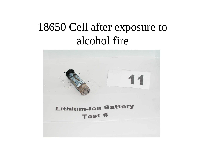# 18650 Cell after exposure to alcohol fire

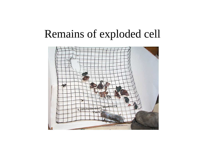#### Remains of exploded cell

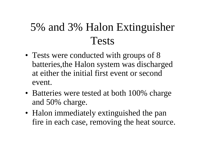# 5% and 3% Halon Extinguisher Tests

- Tests were conducted with groups of 8 batteries,the Halon system was discharged at either the initial first event or second event.
- Batteries were tested at both 100% charge and 50% charge.
- Halon immediately extinguished the pan fire in each case, removing the heat source.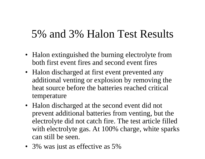#### 5% and 3% Halon Test Results

- Halon extinguished the burning electrolyte from both first event fires and second event fires
- Halon discharged at first event prevented any additional venting or explosion by removing the heat source before the batteries reached critical temperature
- Halon discharged at the second event did not prevent additional batteries from venting, but the electrolyte did not catch fire. The test article filled with electrolyte gas. At 100% charge, white sparks can still be seen.
- 3% was just as effective as 5%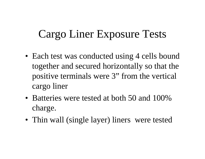# Cargo Liner Exposure Tests

- Each test was conducted using 4 cells bound together and secured horizontally so that the positive terminals were 3" from the vertical cargo liner
- Batteries were tested at both 50 and 100% charge.
- Thin wall (single layer) liners were tested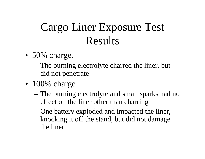# Cargo Liner Exposure Test Results

- 50% charge.
	- The burning electrolyte charred the liner, but did not penetrate
- 100% charge
	- The burning electrolyte and small sparks had no effect on the liner other than charring
	- – One battery exploded and impacted the liner, knocking it off the stand, but did not damage the liner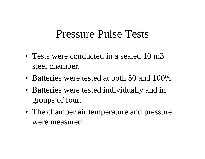#### Pressure Pulse Tests

- Tests were conducted in a sealed 10 m3 steel chamber.
- Batteries were tested at both 50 and 100%
- Batteries were tested individually and in groups of four.
- The chamber air temperature and pressure were measured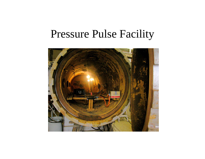#### Pressure Pulse Facility

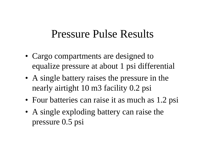#### Pressure Pulse Results

- Cargo compartments are designed to equalize pressure at about 1 psi differential
- A single battery raises the pressure in the nearly airtight 10 m3 facility 0.2 psi
- Four batteries can raise it as much as 1.2 psi
- A single exploding battery can raise the pressure 0.5 psi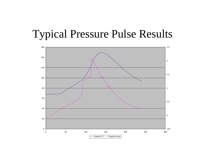#### Typical Pressure Pulse Results

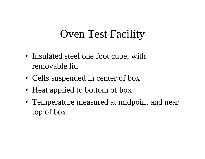# Oven Test Facility

- Insulated steel one foot cube, with removable lid
- Cells suspended in center of box
- Heat applied to bottom of box
- Temperature measured at midpoint and near top of box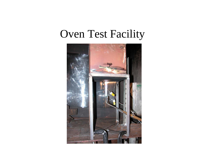#### Oven Test Facility

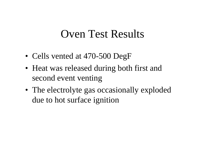#### Oven Test Results

- Cells vented at 470-500 DegF
- Heat was released during both first and second event venting
- The electrolyte gas occasionally exploded due to hot surface ignition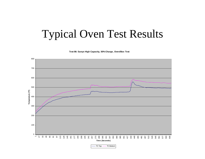## Typical Oven Test Results

**Test 86: Sanyo High Capacity, 50% Charge, Oven/Box Test**